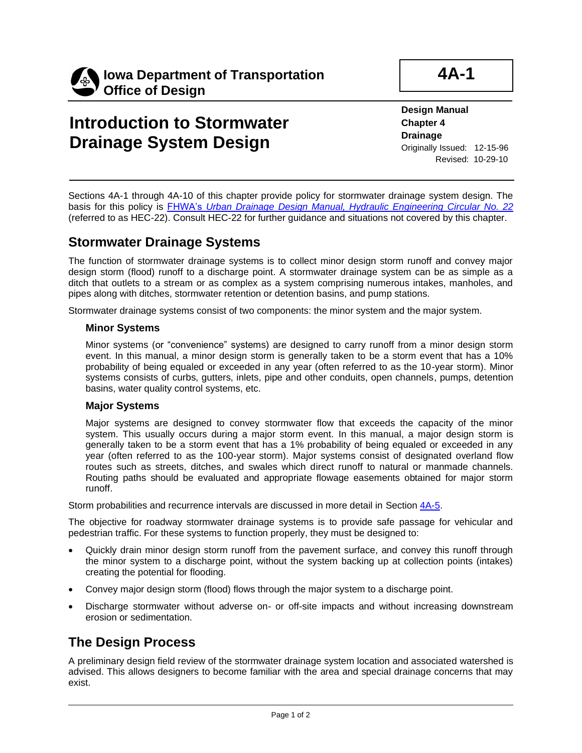

## **Introduction to Stormwater Drainage System Design**

**4A-1**

**Design Manual**

**Chapter 4 Drainage** Originally Issued: 12-15-96 Revised: 10-29-10

Sections 4A-1 through 4A-10 of this chapter provide policy for stormwater drainage system design. The basis for this policy is FHWA's *[Urban Drainage Design Manual, Hydraulic Engineering Circular No. 22](http://www.fhwa.dot.gov/engineering/hydraulics/pubs/10009/10009.pdf)* (referred to as HEC-22). Consult HEC-22 for further guidance and situations not covered by this chapter.

### **Stormwater Drainage Systems**

The function of stormwater drainage systems is to collect minor design storm runoff and convey major design storm (flood) runoff to a discharge point. A stormwater drainage system can be as simple as a ditch that outlets to a stream or as complex as a system comprising numerous intakes, manholes, and pipes along with ditches, stormwater retention or detention basins, and pump stations.

Stormwater drainage systems consist of two components: the minor system and the major system.

#### **Minor Systems**

Minor systems (or "convenience" systems) are designed to carry runoff from a minor design storm event. In this manual, a minor design storm is generally taken to be a storm event that has a 10% probability of being equaled or exceeded in any year (often referred to as the 10-year storm). Minor systems consists of curbs, gutters, inlets, pipe and other conduits, open channels, pumps, detention basins, water quality control systems, etc.

#### **Major Systems**

Major systems are designed to convey stormwater flow that exceeds the capacity of the minor system. This usually occurs during a major storm event. In this manual, a major design storm is generally taken to be a storm event that has a 1% probability of being equaled or exceeded in any year (often referred to as the 100-year storm). Major systems consist of designated overland flow routes such as streets, ditches, and swales which direct runoff to natural or manmade channels. Routing paths should be evaluated and appropriate flowage easements obtained for major storm runoff.

Storm probabilities and recurrence intervals are discussed in more detail in Section [4A-5.](04a-05.pdf)

The objective for roadway stormwater drainage systems is to provide safe passage for vehicular and pedestrian traffic. For these systems to function properly, they must be designed to:

- Quickly drain minor design storm runoff from the pavement surface, and convey this runoff through the minor system to a discharge point, without the system backing up at collection points (intakes) creating the potential for flooding.
- Convey major design storm (flood) flows through the major system to a discharge point.
- Discharge stormwater without adverse on- or off-site impacts and without increasing downstream erosion or sedimentation.

### **The Design Process**

A preliminary design field review of the stormwater drainage system location and associated watershed is advised. This allows designers to become familiar with the area and special drainage concerns that may exist.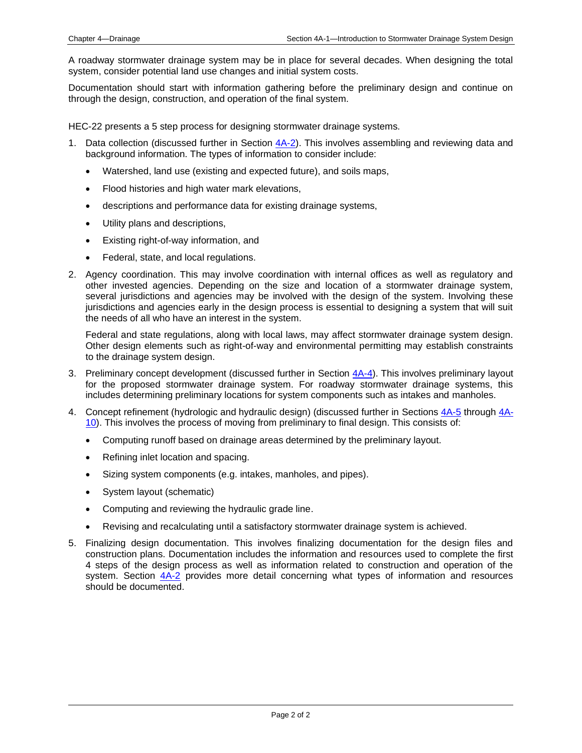A roadway stormwater drainage system may be in place for several decades. When designing the total system, consider potential land use changes and initial system costs.

Documentation should start with information gathering before the preliminary design and continue on through the design, construction, and operation of the final system.

HEC-22 presents a 5 step process for designing stormwater drainage systems.

- 1. Data collection (discussed further in Section [4A-2\)](04a-02.pdf). This involves assembling and reviewing data and background information. The types of information to consider include:
	- Watershed, land use (existing and expected future), and soils maps,
	- Flood histories and high water mark elevations,
	- descriptions and performance data for existing drainage systems,
	- Utility plans and descriptions,
	- Existing right-of-way information, and
	- Federal, state, and local regulations.
- 2. Agency coordination. This may involve coordination with internal offices as well as regulatory and other invested agencies. Depending on the size and location of a stormwater drainage system, several jurisdictions and agencies may be involved with the design of the system. Involving these jurisdictions and agencies early in the design process is essential to designing a system that will suit the needs of all who have an interest in the system.

Federal and state regulations, along with local laws, may affect stormwater drainage system design. Other design elements such as right-of-way and environmental permitting may establish constraints to the drainage system design.

- 3. Preliminary concept development (discussed further in Section [4A-4\)](04a-04.pdf). This involves preliminary layout for the proposed stormwater drainage system. For roadway stormwater drainage systems, this includes determining preliminary locations for system components such as intakes and manholes.
- 4. Concept refinement (hydrologic and hydraulic design) (discussed further in Sections [4A-5](04a-05.pdf) throug[h 4A-](04a-10.pdf)[10\)](04a-10.pdf). This involves the process of moving from preliminary to final design. This consists of:
	- Computing runoff based on drainage areas determined by the preliminary layout.
	- Refining inlet location and spacing.
	- Sizing system components (e.g. intakes, manholes, and pipes).
	- System layout (schematic)
	- Computing and reviewing the hydraulic grade line.
	- Revising and recalculating until a satisfactory stormwater drainage system is achieved.
- 5. Finalizing design documentation. This involves finalizing documentation for the design files and construction plans. Documentation includes the information and resources used to complete the first 4 steps of the design process as well as information related to construction and operation of the system. Section  $4A-2$  provides more detail concerning what types of information and resources should be documented.